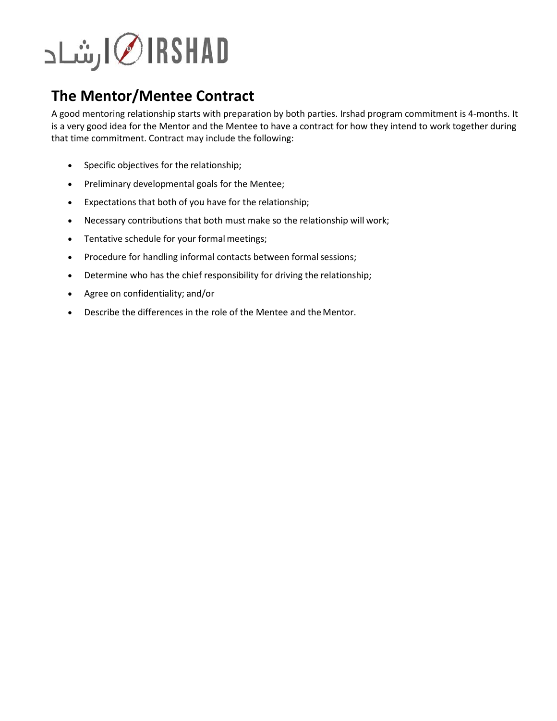## RSHADد √ارشاد

## **The Mentor/Mentee Contract**

A good mentoring relationship starts with preparation by both parties. Irshad program commitment is 4-months. It is a very good idea for the Mentor and the Mentee to have a contract for how they intend to work together during that time commitment. Contract may include the following:

- Specific objectives for the relationship;
- Preliminary developmental goals for the Mentee;
- Expectations that both of you have for the relationship;
- Necessary contributions that both must make so the relationship will work;
- Tentative schedule for your formal meetings;
- Procedure for handling informal contacts between formal sessions;
- Determine who has the chief responsibility for driving the relationship;
- Agree on confidentiality; and/or
- Describe the differences in the role of the Mentee and the Mentor.